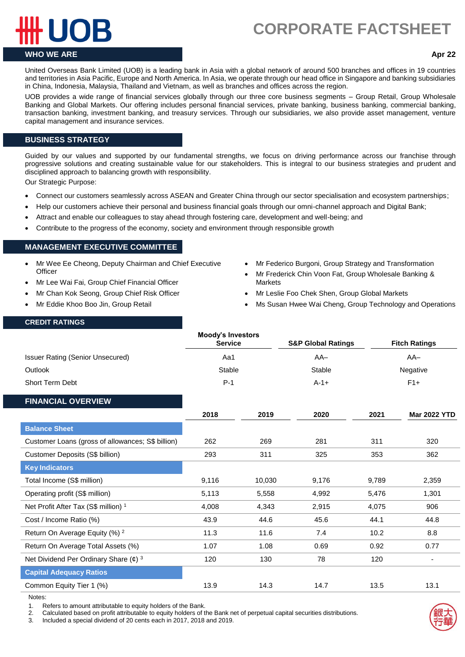# **CORPORATE FACTSHEET.**

# **WHO WE ARE Apr 22**

United Overseas Bank Limited (UOB) is a leading bank in Asia with a global network of around 500 branches and offices in 19 countries and territories in Asia Pacific, Europe and North America. In Asia, we operate through our head office in Singapore and banking subsidiaries in China, Indonesia, Malaysia, Thailand and Vietnam, as well as branches and offices across the region.

UOB provides a wide range of financial services globally through our three core business segments – Group Retail, Group Wholesale Banking and Global Markets. Our offering includes personal financial services, private banking, business banking, commercial banking, transaction banking, investment banking, and treasury services. Through our subsidiaries, we also provide asset management, venture capital management and insurance services.

## **BUSINESS STRATEGY**

Guided by our values and supported by our fundamental strengths, we focus on driving performance across our franchise through progressive solutions and creating sustainable value for our stakeholders. This is integral to our business strategies and prudent and disciplined approach to balancing growth with responsibility.

Our Strategic Purpose:

- Connect our customers seamlessly across ASEAN and Greater China through our sector specialisation and ecosystem partnerships;
- Help our customers achieve their personal and business financial goals through our omni-channel approach and Digital Bank;
- Attract and enable our colleagues to stay ahead through fostering care, development and well-being; and
- Contribute to the progress of the economy, society and environment through responsible growth

## **MANAGEMENT EXECUTIVE COMMITTEE**

- Mr Wee Ee Cheong, Deputy Chairman and Chief Executive **Officer**
- Mr Lee Wai Fai, Group Chief Financial Officer
- Mr Chan Kok Seong, Group Chief Risk Officer
- Mr Eddie Khoo Boo Jin, Group Retail
- Mr Federico Burgoni, Group Strategy and Transformation
- Mr Frederick Chin Voon Fat, Group Wholesale Banking & **Markets**
- Mr Leslie Foo Chek Shen, Group Global Markets
- Ms Susan Hwee Wai Cheng, Group Technology and Operations

### **CREDIT RATINGS**

|                                                       | <b>Moody's Investors</b><br><b>Service</b><br>Aa1 |        | <b>S&amp;P Global Ratings</b> |          | <b>Fitch Ratings</b>         |
|-------------------------------------------------------|---------------------------------------------------|--------|-------------------------------|----------|------------------------------|
| <b>Issuer Rating (Senior Unsecured)</b>               |                                                   |        | $AA-$                         | $AA-$    |                              |
| Outlook                                               | <b>Stable</b>                                     |        | <b>Stable</b>                 | Negative |                              |
| <b>Short Term Debt</b>                                | $P-1$                                             |        | $A-1+$                        | $F1+$    |                              |
| <b>FINANCIAL OVERVIEW</b>                             |                                                   |        |                               |          |                              |
|                                                       | 2018                                              | 2019   | 2020                          | 2021     | <b>Mar 2022 YTD</b>          |
| <b>Balance Sheet</b>                                  |                                                   |        |                               |          |                              |
| Customer Loans (gross of allowances; S\$ billion)     | 262                                               | 269    | 281                           | 311      | 320                          |
| Customer Deposits (S\$ billion)                       | 293                                               | 311    | 325                           | 353      | 362                          |
| <b>Key Indicators</b>                                 |                                                   |        |                               |          |                              |
| Total Income (S\$ million)                            | 9,116                                             | 10,030 | 9,176                         | 9,789    | 2,359                        |
| Operating profit (S\$ million)                        | 5,113                                             | 5,558  | 4,992                         | 5,476    | 1,301                        |
| Net Profit After Tax (S\$ million) <sup>1</sup>       | 4,008                                             | 4,343  | 2,915                         | 4,075    | 906                          |
| Cost / Income Ratio (%)                               | 43.9                                              | 44.6   | 45.6                          | 44.1     | 44.8                         |
| Return On Average Equity (%) <sup>2</sup>             | 11.3                                              | 11.6   | 7.4                           | 10.2     | 8.8                          |
| Return On Average Total Assets (%)                    | 1.07                                              | 1.08   | 0.69                          | 0.92     | 0.77                         |
| Net Dividend Per Ordinary Share $(\phi)$ <sup>3</sup> | 120                                               | 130    | 78                            | 120      | $\qquad \qquad \blacksquare$ |
| <b>Capital Adequacy Ratios</b>                        |                                                   |        |                               |          |                              |
| Common Equity Tier 1 (%)                              | 13.9                                              | 14.3   | 14.7                          | 13.5     | 13.1                         |

Notes:

1. Refers to amount attributable to equity holders of the Bank.

2. Calculated based on profit attributable to equity holders of the Bank net of perpetual capital securities distributions.

3. Included a special dividend of 20 cents each in 2017, 2018 and 2019.